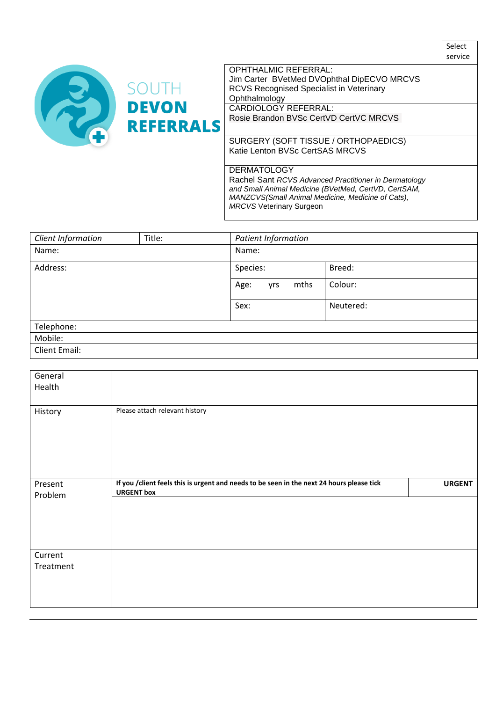

|                                                                                               | Select<br>service |
|-----------------------------------------------------------------------------------------------|-------------------|
| <b>OPHTHALMIC REFERRAL:</b>                                                                   |                   |
| Jim Carter BVetMed DVOphthal DipECVO MRCVS<br><b>RCVS Recognised Specialist in Veterinary</b> |                   |
| Ophthalmology                                                                                 |                   |
| <b>CARDIOLOGY REFERRAL:</b>                                                                   |                   |
| Rosie Brandon BVSc CertVD CertVC MRCVS                                                        |                   |
|                                                                                               |                   |
| SURGERY (SOFT TISSUE / ORTHOPAEDICS)                                                          |                   |
| Katie Lenton BVSc CertSAS MRCVS                                                               |                   |
|                                                                                               |                   |
| <b>DERMATOLOGY</b>                                                                            |                   |
| Rachel Sant RCVS Advanced Practitioner in Dermatology                                         |                   |
| and Small Animal Medicine (BVetMed, CertVD, CertSAM,                                          |                   |
| MANZCVS(Small Animal Medicine, Medicine of Cats),                                             |                   |

| Client Information   | Title: | Patient Information |           |  |
|----------------------|--------|---------------------|-----------|--|
| Name:                |        | Name:               |           |  |
| Address:             |        | Species:            | Breed:    |  |
|                      |        | mths<br>Age:<br>yrs | Colour:   |  |
|                      |        | Sex:                | Neutered: |  |
| Telephone:           |        |                     |           |  |
| Mobile:              |        |                     |           |  |
| <b>Client Email:</b> |        |                     |           |  |

*MRCVS* Veterinary Surgeon

| General<br>Health    |                                                                                                                |               |
|----------------------|----------------------------------------------------------------------------------------------------------------|---------------|
| History              | Please attach relevant history                                                                                 |               |
| Present<br>Problem   | If you /client feels this is urgent and needs to be seen in the next 24 hours please tick<br><b>URGENT box</b> | <b>URGENT</b> |
| Current<br>Treatment |                                                                                                                |               |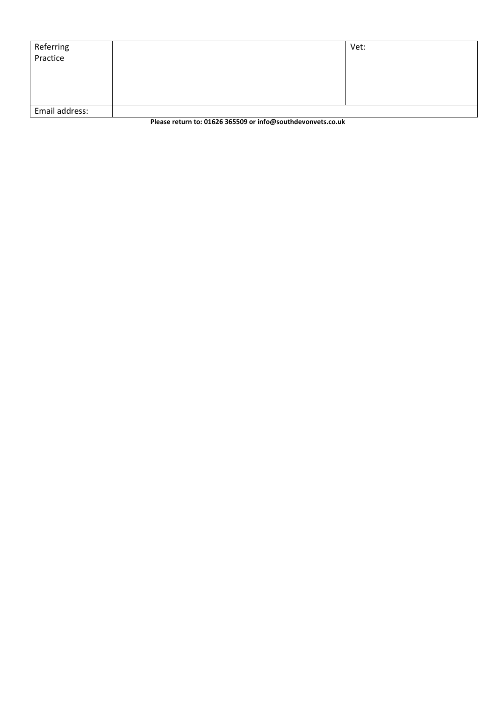| Referring<br>Practice | Vet: |
|-----------------------|------|
| Email address:        |      |

**Please return to: 01626 365509 or info@southdevonvets.co.uk**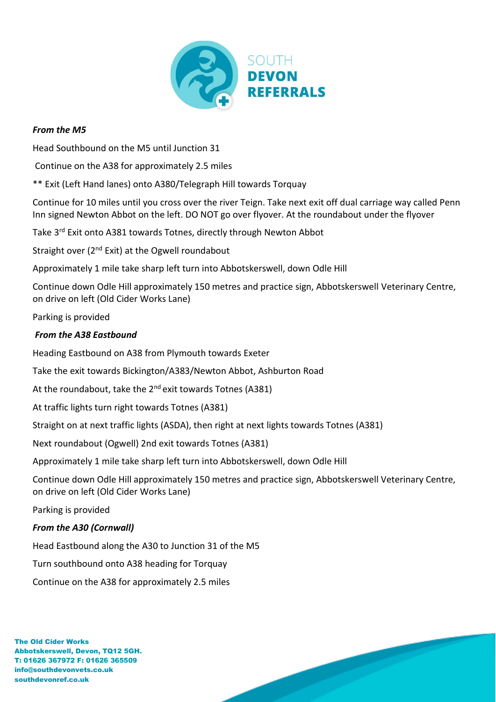

## *From the M5*

Head Southbound on the M5 until Junction 31

Continue on the A38 for approximately 2.5 miles

\*\* Exit (Left Hand lanes) onto A380/Telegraph Hill towards Torquay

Continue for 10 miles until you cross over the river Teign. Take next exit off dual carriage way called Penn Inn signed Newton Abbot on the left. DO NOT go over flyover. At the roundabout under the flyover

Take 3<sup>rd</sup> Exit onto A381 towards Totnes, directly through Newton Abbot

Straight over (2<sup>nd</sup> Exit) at the Ogwell roundabout

Approximately 1 mile take sharp left turn into Abbotskerswell, down Odle Hill

Continue down Odle Hill approximately 150 metres and practice sign, Abbotskerswell Veterinary Centre, on drive on left (Old Cider Works Lane)

Parking is provided

## *From the A38 Eastbound*

Heading Eastbound on A38 from Plymouth towards Exeter

Take the exit towards Bickington/A383/Newton Abbot, Ashburton Road

At the roundabout, take the  $2^{nd}$  exit towards Totnes (A381)

At traffic lights turn right towards Totnes (A381)

Straight on at next traffic lights (ASDA), then right at next lights towards Totnes (A381)

Next roundabout (Ogwell) 2nd exit towards Totnes (A381)

Approximately 1 mile take sharp left turn into Abbotskerswell, down Odle Hill

Continue down Odle Hill approximately 150 metres and practice sign, Abbotskerswell Veterinary Centre, on drive on left (Old Cider Works Lane)

Parking is provided

## *From the A30 (Cornwall)*

Head Eastbound along the A30 to Junction 31 of the M5

Turn southbound onto A38 heading for Torquay

Continue on the A38 for approximately 2.5 miles